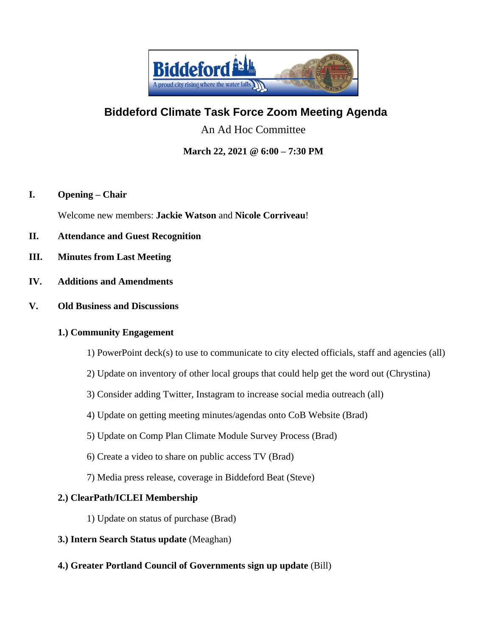

# **Biddeford Climate Task Force Zoom Meeting Agenda**

An Ad Hoc Committee

**March 22, 2021 @ 6:00 – 7:30 PM**

#### **I. Opening – Chair**

Welcome new members: **Jackie Watson** and **Nicole Corriveau**!

- **II. Attendance and Guest Recognition**
- **III. Minutes from Last Meeting**
- **IV. Additions and Amendments**
- **V. Old Business and Discussions**

#### **1.) Community Engagement**

- 1) PowerPoint deck(s) to use to communicate to city elected officials, staff and agencies (all)
- 2) Update on inventory of other local groups that could help get the word out (Chrystina)
- 3) Consider adding Twitter, Instagram to increase social media outreach (all)
- 4) Update on getting meeting minutes/agendas onto CoB Website (Brad)
- 5) Update on Comp Plan Climate Module Survey Process (Brad)
- 6) Create a video to share on public access TV (Brad)
- 7) Media press release, coverage in Biddeford Beat (Steve)

#### **2.) ClearPath/ICLEI Membership**

- 1) Update on status of purchase (Brad)
- **3.) Intern Search Status update** (Meaghan)
- **4.) Greater Portland Council of Governments sign up update** (Bill)